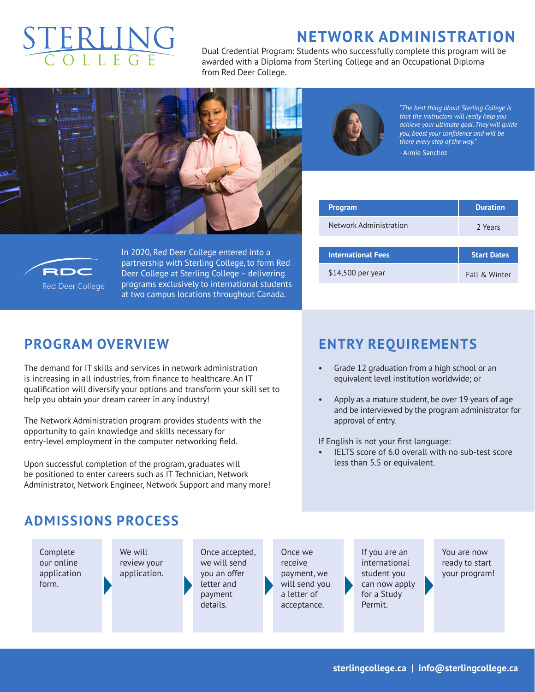# **NETWORK ADMINISTRATION**

Dual Credential Program: Students who successfully complete this program will be awarded with a Diploma from Sterling College and an Occupational Diploma from Red Deer College.





*"The best thing about Sterling College is that the instructors will really help you achieve your ultimate goal. They will guide you, boost your confidence and will be there every step of the way."* - Armie Sanchez

| <b>Program</b>            | <b>Duration</b>    |  |
|---------------------------|--------------------|--|
| Network Administration    | 2 Years            |  |
|                           |                    |  |
| <b>International Fees</b> | <b>Start Dates</b> |  |
| \$14,500 per year         | Fall & Winter      |  |



In 2020, Red Deer College entered into a partnership with Sterling College, to form Red Deer College at Sterling College – delivering programs exclusively to international students at two campus locations throughout Canada.

#### **PROGRAM OVERVIEW**

The demand for IT skills and services in network administration is increasing in all industries, from finance to healthcare. An IT qualification will diversify your options and transform your skill set to help you obtain your dream career in any industry!

The Network Administration program provides students with the opportunity to gain knowledge and skills necessary for entry-level employment in the computer networking field.

Upon successful completion of the program, graduates will be positioned to enter careers such as IT Technician, Network Administrator, Network Engineer, Network Support and many more!

## **ENTRY REQUIREMENTS**

- Grade 12 graduation from a high school or an equivalent level institution worldwide; or
- Apply as a mature student, be over 19 years of age and be interviewed by the program administrator for approval of entry.

If English is not your first language:

IELTS score of 6.0 overall with no sub-test score less than 5.5 or equivalent.

### **ADMISSIONS PROCESS**

Complete our online application form.

We will review your application.

Once accepted, we will send you an offer letter and payment details.

Once we receive payment, we will send you a letter of acceptance.

If you are an international student you can now apply for a Study Permit.

You are now ready to start your program!